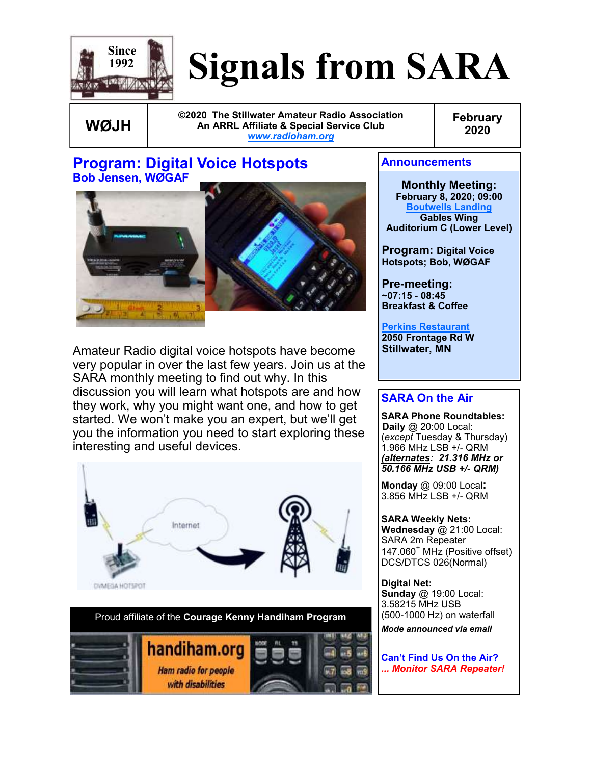

# **Signals from SARA**

**WØJH**

**©2020 The Stillwater Amateur Radio Association An ARRL Affiliate & Special Service Club** *[www.radioham.org](http://www.radioham.org/)*

**February 2020**

#### **Program: Digital Voice Hotspots Bob Jensen, WØGAF**



Amateur Radio digital voice hotspots have become very popular in over the last few years. Join us at the SARA monthly meeting to find out why. In this discussion you will learn what hotspots are and how they work, why you might want one, and how to get started. We won't make you an expert, but we'll get you the information you need to start exploring these interesting and useful devices.





#### **Announcements**

**Monthly Meeting: February 8, 2020; 09:00 [Boutwells Landing](http://www.boutwells.org/gpc.iml) Gables Wing Auditorium C (Lower Level)**

**Program: Digital Voice Hotspots; Bob, WØGAF**

**Pre-meeting: ~07:15 - 08:45 Breakfast & Coffee** 

**Perkins Restaurant 2050 Frontage Rd W Stillwater, MN**

#### **SARA On the Air**

**SARA Phone Roundtables: Daily** @ 20:00 Local: (*except* Tuesday & Thursday) 1.966 MHz LSB +/- QRM *(alternates: 21.316 MHz or 50.166 MHz USB +/- QRM)*

**Monday** @ 09:00 Local**:**  3.856 MHz LSB +/- QRM

**SARA Weekly Nets: Wednesday** @ 21:00 Local: SARA 2m Repeater 147.060<sup>+</sup> MHz (Positive offset) DCS/DTCS 026(Normal)

**Digital Net: Sunday** @ 19:00 Local: 3.58215 MHz USB (500-1000 Hz) on waterfall

*Mode announced via email*

**Can't Find Us On the Air?**  *... Monitor SARA Repeater!*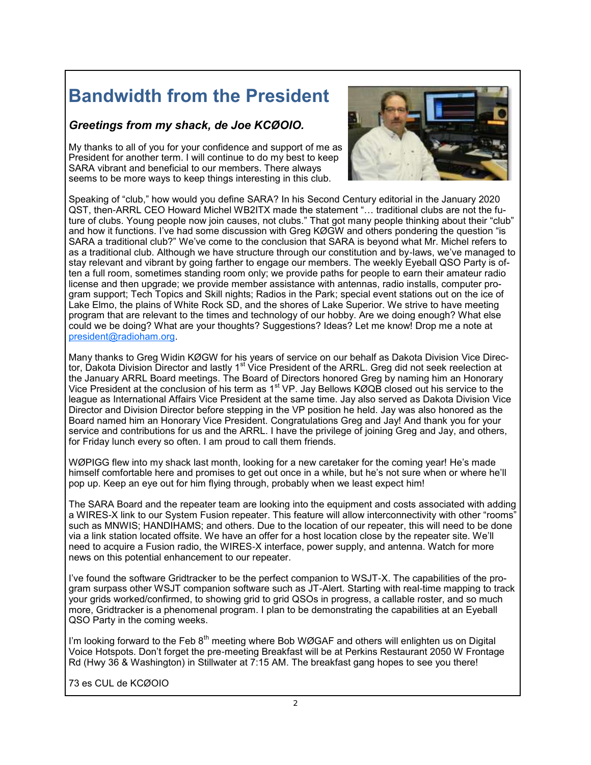### **Bandwidth from the President**

#### *Greetings from my shack, de Joe KCØOIO.*

My thanks to all of you for your confidence and support of me as President for another term. I will continue to do my best to keep SARA vibrant and beneficial to our members. There always seems to be more ways to keep things interesting in this club.



Speaking of "club," how would you define SARA? In his Second Century editorial in the January 2020 QST, then-ARRL CEO Howard Michel WB2ITX made the statement "… traditional clubs are not the future of clubs. Young people now join causes, not clubs." That got many people thinking about their "club" and how it functions. I've had some discussion with Greg KØGW and others pondering the question "is SARA a traditional club?" We've come to the conclusion that SARA is beyond what Mr. Michel refers to as a traditional club. Although we have structure through our constitution and by-laws, we've managed to stay relevant and vibrant by going farther to engage our members. The weekly Eyeball QSO Party is often a full room, sometimes standing room only; we provide paths for people to earn their amateur radio license and then upgrade; we provide member assistance with antennas, radio installs, computer program support; Tech Topics and Skill nights; Radios in the Park; special event stations out on the ice of Lake Elmo, the plains of White Rock SD, and the shores of Lake Superior. We strive to have meeting program that are relevant to the times and technology of our hobby. Are we doing enough? What else could we be doing? What are your thoughts? Suggestions? Ideas? Let me know! Drop me a note at [president@radioham.org.](mailto:president@radioham.org)

Many thanks to Greg Widin KØGW for his years of service on our behalf as Dakota Division Vice Director, Dakota Division Director and lastly 1 $^{\rm st}$  Vice President of the ARRL. Greg did not seek reelection at the January ARRL Board meetings. The Board of Directors honored Greg by naming him an Honorary Vice President at the conclusion of his term as 1<sup>st</sup> VP. Jay Bellows KØQB closed out his service to the league as International Affairs Vice President at the same time. Jay also served as Dakota Division Vice Director and Division Director before stepping in the VP position he held. Jay was also honored as the Board named him an Honorary Vice President. Congratulations Greg and Jay! And thank you for your service and contributions for us and the ARRL. I have the privilege of joining Greg and Jay, and others, for Friday lunch every so often. I am proud to call them friends.

WØPIGG flew into my shack last month, looking for a new caretaker for the coming year! He's made himself comfortable here and promises to get out once in a while, but he's not sure when or where he'll pop up. Keep an eye out for him flying through, probably when we least expect him!

The SARA Board and the repeater team are looking into the equipment and costs associated with adding a WIRES-X link to our System Fusion repeater. This feature will allow interconnectivity with other "rooms" such as MNWIS; HANDIHAMS; and others. Due to the location of our repeater, this will need to be done via a link station located offsite. We have an offer for a host location close by the repeater site. We'll need to acquire a Fusion radio, the WIRES-X interface, power supply, and antenna. Watch for more news on this potential enhancement to our repeater.

I've found the software Gridtracker to be the perfect companion to WSJT-X. The capabilities of the program surpass other WSJT companion software such as JT-Alert. Starting with real-time mapping to track your grids worked/confirmed, to showing grid to grid QSOs in progress, a callable roster, and so much more, Gridtracker is a phenomenal program. I plan to be demonstrating the capabilities at an Eyeball QSO Party in the coming weeks.

I'm looking forward to the Feb  $8<sup>th</sup>$  meeting where Bob WØGAF and others will enlighten us on Digital Voice Hotspots. Don't forget the pre-meeting Breakfast will be at Perkins Restaurant 2050 W Frontage Rd (Hwy 36 & Washington) in Stillwater at 7:15 AM. The breakfast gang hopes to see you there!

73 es CUL de KCØOIO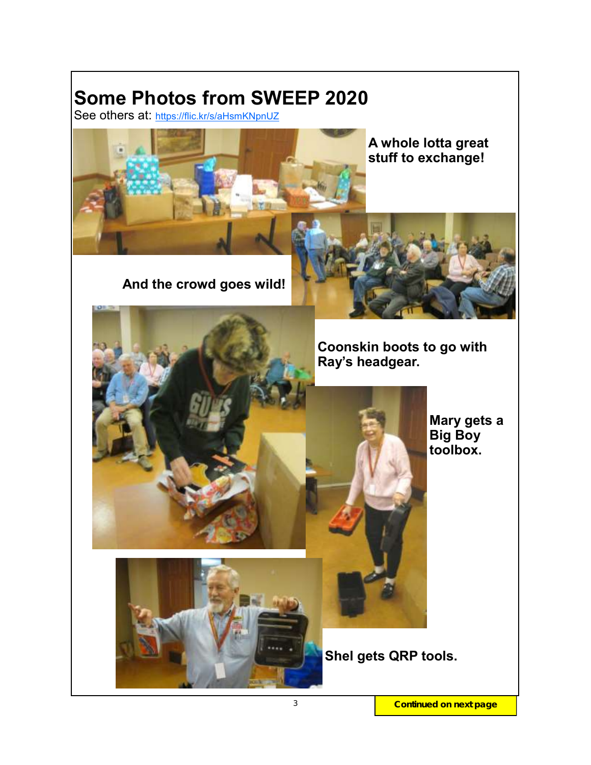### **Some Photos from SWEEP 2020**

See others at: <https://flic.kr/s/aHsmKNpnUZ>



**A whole lotta great stuff to exchange!**

 **And the crowd goes wild!**



 **Coonskin boots to go with Ray's headgear.**

> **Mary gets a Big Boy toolbox.**



 **Shel gets QRP tools.**

3 **Continued on next page**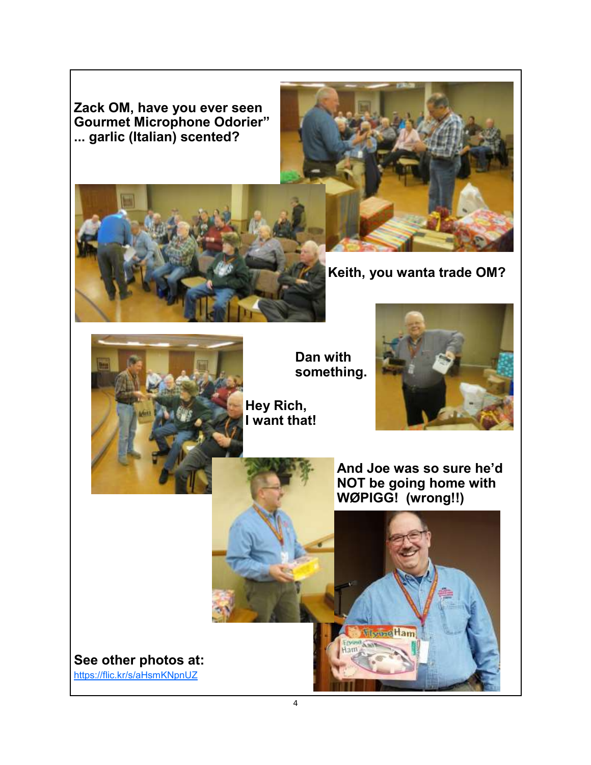**Zack OM, have you ever seen Gourmet Microphone Odorier" ... garlic (Italian) scented?**





**Keith, you wanta trade OM?**



 **Dan with something.**

**Hey Rich, I want that!**





**Monne Ham** 



4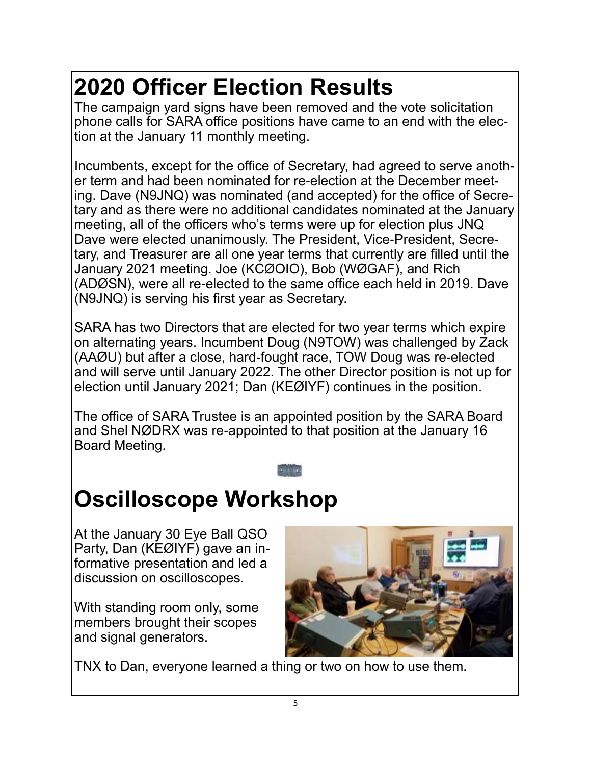## **2020 Officer Election Results**

The campaign yard signs have been removed and the vote solicitation phone calls for SARA office positions have came to an end with the election at the January 11 monthly meeting.

Incumbents, except for the office of Secretary, had agreed to serve another term and had been nominated for re-election at the December meeting. Dave (N9JNQ) was nominated (and accepted) for the office of Secretary and as there were no additional candidates nominated at the January meeting, all of the officers who's terms were up for election plus JNQ Dave were elected unanimously. The President, Vice-President, Secretary, and Treasurer are all one year terms that currently are filled until the January 2021 meeting. Joe (KCØOIO), Bob (WØGAF), and Rich (ADØSN), were all re-elected to the same office each held in 2019. Dave (N9JNQ) is serving his first year as Secretary.

SARA has two Directors that are elected for two year terms which expire on alternating years. Incumbent Doug (N9TOW) was challenged by Zack (AAØU) but after a close, hard-fought race, TOW Doug was re-elected and will serve until January 2022. The other Director position is not up for election until January 2021; Dan (KEØIYF) continues in the position.

The office of SARA Trustee is an appointed position by the SARA Board and Shel NØDRX was re-appointed to that position at the January 16 Board Meeting.

### **Oscilloscope Workshop**

At the January 30 Eye Ball QSO Party, Dan (KEØIYF) gave an informative presentation and led a discussion on oscilloscopes.

With standing room only, some members brought their scopes and signal generators.



TNX to Dan, everyone learned a thing or two on how to use them.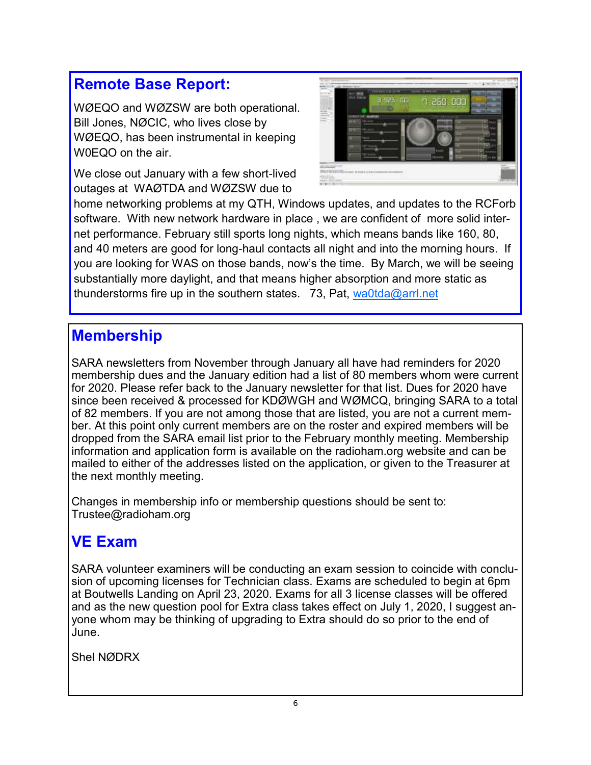### **Remote Base Report:**

WØEQO and WØZSW are both operational. Bill Jones, NØCIC, who lives close by WØEQO, has been instrumental in keeping W0EQO on the air.

We close out January with a few short-lived outages at WAØTDA and WØZSW due to



home networking problems at my QTH, Windows updates, and updates to the RCForb software. With new network hardware in place , we are confident of more solid internet performance. February still sports long nights, which means bands like 160, 80, and 40 meters are good for long-haul contacts all night and into the morning hours. If you are looking for WAS on those bands, now's the time. By March, we will be seeing substantially more daylight, and that means higher absorption and more static as thunderstorms fire up in the southern states. 73, Pat, [wa0tda@arrl.net](mailto:wa0tda@arrl.net)

#### **Membership**

SARA newsletters from November through January all have had reminders for 2020 membership dues and the January edition had a list of 80 members whom were current for 2020. Please refer back to the January newsletter for that list. Dues for 2020 have since been received & processed for KDØWGH and WØMCQ, bringing SARA to a total of 82 members. If you are not among those that are listed, you are not a current member. At this point only current members are on the roster and expired members will be dropped from the SARA email list prior to the February monthly meeting. Membership information and application form is available on the radioham.org website and can be mailed to either of the addresses listed on the application, or given to the Treasurer at the next monthly meeting.

Changes in membership info or membership questions should be sent to: Trustee@radioham.org

#### **VE Exam**

SARA volunteer examiners will be conducting an exam session to coincide with conclusion of upcoming licenses for Technician class. Exams are scheduled to begin at 6pm at Boutwells Landing on April 23, 2020. Exams for all 3 license classes will be offered and as the new question pool for Extra class takes effect on July 1, 2020, I suggest anyone whom may be thinking of upgrading to Extra should do so prior to the end of June.

Shel NØDRX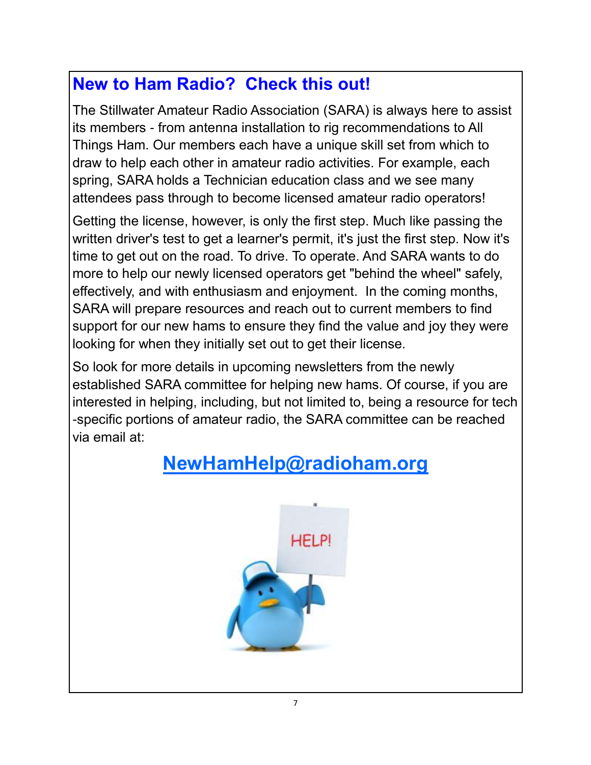### **New to Ham Radio? Check this out!**

The Stillwater Amateur Radio Association (SARA) is always here to assist its members - from antenna installation to rig recommendations to All Things Ham. Our members each have a unique skill set from which to draw to help each other in amateur radio activities. For example, each spring, SARA holds a Technician education class and we see many attendees pass through to become licensed amateur radio operators!

Getting the license, however, is only the first step. Much like passing the written driver's test to get a learner's permit, it's just the first step. Now it's time to get out on the road. To drive. To operate. And SARA wants to do more to help our newly licensed operators get "behind the wheel" safely, effectively, and with enthusiasm and enjoyment. In the coming months, SARA will prepare resources and reach out to current members to find support for our new hams to ensure they find the value and joy they were looking for when they initially set out to get their license.

So look for more details in upcoming newsletters from the newly established SARA committee for helping new hams. Of course, if you are interested in helping, including, but not limited to, being a resource for tech -specific portions of amateur radio, the SARA committee can be reached via email at:

### **[NewHamHelp@radioham.org](mailto:NewHamHelp@radioham.org?subject=New%20Ham%20Help)**

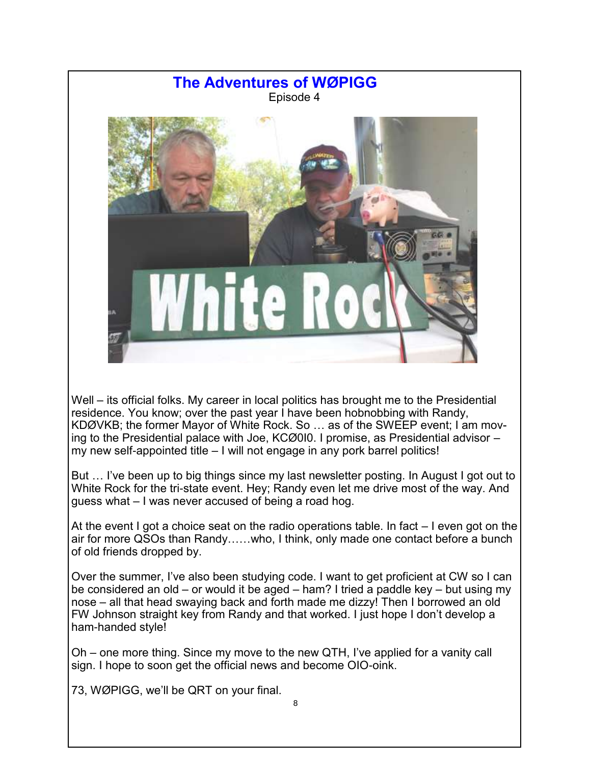

Well – its official folks. My career in local politics has brought me to the Presidential residence. You know; over the past year I have been hobnobbing with Randy, KDØVKB; the former Mayor of White Rock. So … as of the SWEEP event; I am moving to the Presidential palace with Joe, KCØ0I0. I promise, as Presidential advisor – my new self-appointed title – I will not engage in any pork barrel politics!

But … I've been up to big things since my last newsletter posting. In August I got out to White Rock for the tri-state event. Hey; Randy even let me drive most of the way. And guess what – I was never accused of being a road hog.

At the event I got a choice seat on the radio operations table. In fact – I even got on the air for more QSOs than Randy……who, I think, only made one contact before a bunch of old friends dropped by.

Over the summer, I've also been studying code. I want to get proficient at CW so I can be considered an old – or would it be aged – ham? I tried a paddle key – but using my nose – all that head swaying back and forth made me dizzy! Then I borrowed an old FW Johnson straight key from Randy and that worked. I just hope I don't develop a ham-handed style!

Oh – one more thing. Since my move to the new QTH, I've applied for a vanity call sign. I hope to soon get the official news and become OIO-oink.

73, WØPIGG, we'll be QRT on your final.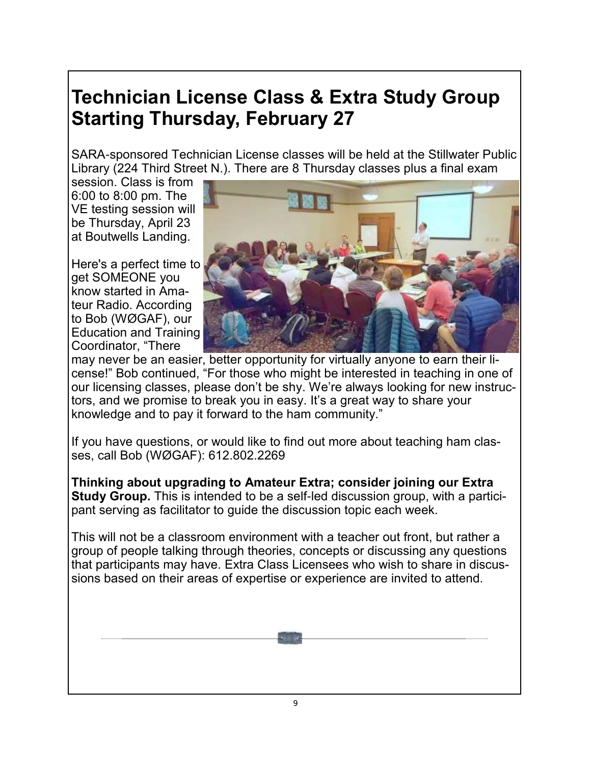### **Technician License Class & Extra Study Group Starting Thursday, February 27**

SARA-sponsored Technician License classes will be held at the Stillwater Public Library (224 Third Street N.). There are 8 Thursday classes plus a final exam

session. Class is from 6:00 to 8:00 pm. The VE testing session will be Thursday, April 23 at Boutwells Landing.

Here's a perfect time to get SOMEONE you know started in Amateur Radio. According to Bob (WØGAF), our Education and Training Coordinator, "There



may never be an easier, better opportunity for virtually anyone to earn their license!" Bob continued, "For those who might be interested in teaching in one of our licensing classes, please don't be shy. We're always looking for new instructors, and we promise to break you in easy. It's a great way to share your knowledge and to pay it forward to the ham community."

If you have questions, or would like to find out more about teaching ham classes, call Bob (WØGAF): 612.802.2269

**Thinking about upgrading to Amateur Extra; consider joining our Extra Study Group.** This is intended to be a self-led discussion group, with a participant serving as facilitator to guide the discussion topic each week.

This will not be a classroom environment with a teacher out front, but rather a group of people talking through theories, concepts or discussing any questions that participants may have. Extra Class Licensees who wish to share in discussions based on their areas of expertise or experience are invited to attend.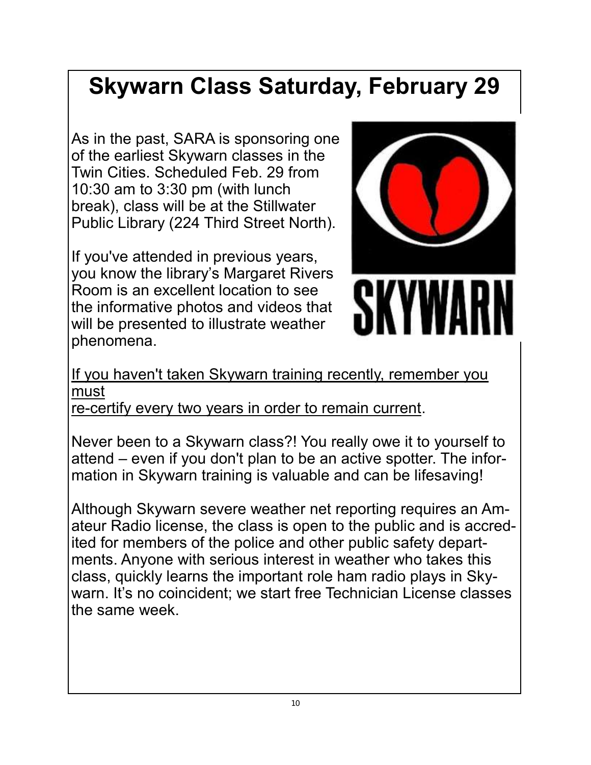### **Skywarn Class Saturday, February 29**

As in the past, SARA is sponsoring one of the earliest Skywarn classes in the Twin Cities. Scheduled Feb. 29 from 10:30 am to 3:30 pm (with lunch break), class will be at the Stillwater Public Library (224 Third Street North).

If you've attended in previous years, you know the library's Margaret Rivers Room is an excellent location to see the informative photos and videos that will be presented to illustrate weather phenomena.



If you haven't taken Skywarn training recently, remember you must

re-certify every two years in order to remain current.

Never been to a Skywarn class?! You really owe it to yourself to attend – even if you don't plan to be an active spotter. The information in Skywarn training is valuable and can be lifesaving!

Although Skywarn severe weather net reporting requires an Amateur Radio license, the class is open to the public and is accredited for members of the police and other public safety departments. Anyone with serious interest in weather who takes this class, quickly learns the important role ham radio plays in Skywarn. It's no coincident; we start free Technician License classes the same week.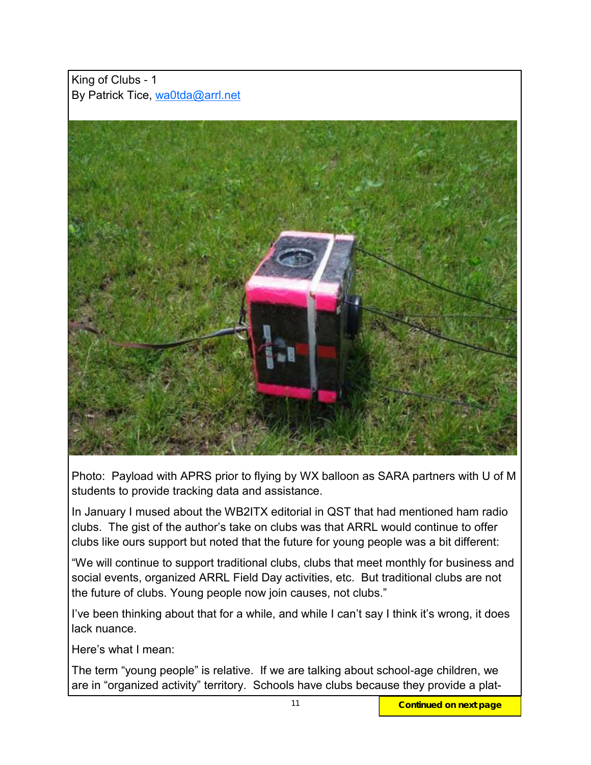King of Clubs - 1 By Patrick Tice, [wa0tda@arrl.net](mailto:wa0tda@arrl.net)



Photo: Payload with APRS prior to flying by WX balloon as SARA partners with U of M students to provide tracking data and assistance.

In January I mused about the WB2ITX editorial in QST that had mentioned ham radio clubs. The gist of the author's take on clubs was that ARRL would continue to offer clubs like ours support but noted that the future for young people was a bit different:

"We will continue to support traditional clubs, clubs that meet monthly for business and social events, organized ARRL Field Day activities, etc. But traditional clubs are not the future of clubs. Young people now join causes, not clubs."

I've been thinking about that for a while, and while I can't say I think it's wrong, it does lack nuance.

Here's what I mean:

The term "young people" is relative. If we are talking about school-age children, we are in "organized activity" territory. Schools have clubs because they provide a plat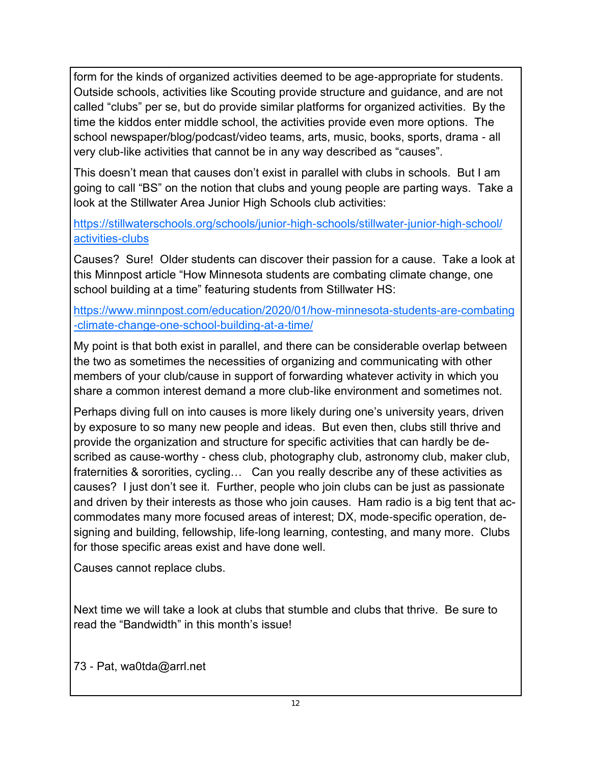form for the kinds of organized activities deemed to be age-appropriate for students. Outside schools, activities like Scouting provide structure and guidance, and are not called "clubs" per se, but do provide similar platforms for organized activities. By the time the kiddos enter middle school, the activities provide even more options. The school newspaper/blog/podcast/video teams, arts, music, books, sports, drama - all very club-like activities that cannot be in any way described as "causes".

This doesn't mean that causes don't exist in parallel with clubs in schools. But I am going to call "BS" on the notion that clubs and young people are parting ways. Take a look at the Stillwater Area Junior High Schools club activities:

[https://stillwaterschools.org/schools/junior-high-schools/stillwater-junior-high-school/](https://stillwaterschools.org/schools/junior-high-schools/stillwater-junior-high-school/activities-clubs) [activities-clubs](https://stillwaterschools.org/schools/junior-high-schools/stillwater-junior-high-school/activities-clubs)

Causes? Sure! Older students can discover their passion for a cause. Take a look at this Minnpost article "How Minnesota students are combating climate change, one school building at a time" featuring students from Stillwater HS:

[https://www.minnpost.com/education/2020/01/how-minnesota-students-are-combating](https://www.minnpost.com/education/2020/01/how-minnesota-students-are-combating-climate-change-one-school-building-at-a-time/) [-climate-change-one-school-building-at-a-time/](https://www.minnpost.com/education/2020/01/how-minnesota-students-are-combating-climate-change-one-school-building-at-a-time/)

My point is that both exist in parallel, and there can be considerable overlap between the two as sometimes the necessities of organizing and communicating with other members of your club/cause in support of forwarding whatever activity in which you share a common interest demand a more club-like environment and sometimes not.

Perhaps diving full on into causes is more likely during one's university years, driven by exposure to so many new people and ideas. But even then, clubs still thrive and provide the organization and structure for specific activities that can hardly be described as cause-worthy - chess club, photography club, astronomy club, maker club, fraternities & sororities, cycling… Can you really describe any of these activities as causes? I just don't see it. Further, people who join clubs can be just as passionate and driven by their interests as those who join causes. Ham radio is a big tent that accommodates many more focused areas of interest; DX, mode-specific operation, designing and building, fellowship, life-long learning, contesting, and many more. Clubs for those specific areas exist and have done well.

Causes cannot replace clubs.

Next time we will take a look at clubs that stumble and clubs that thrive. Be sure to read the "Bandwidth" in this month's issue!

73 - Pat, wa0tda@arrl.net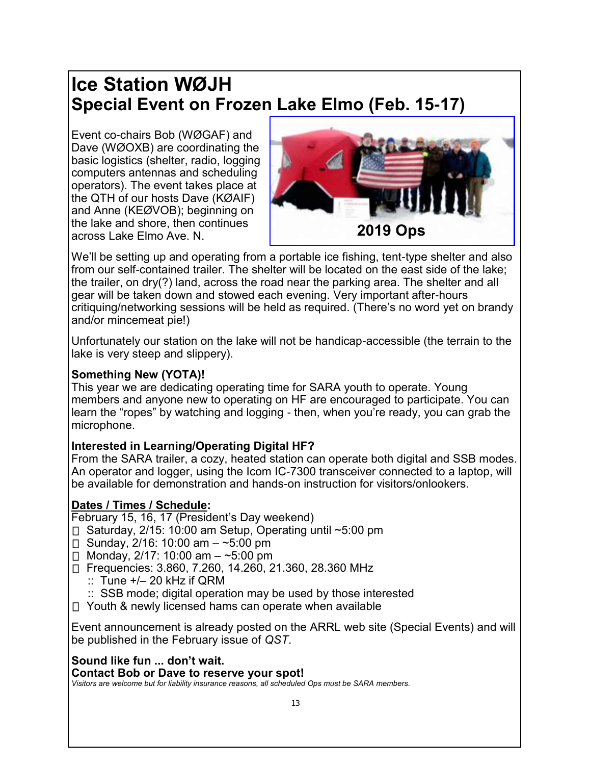### **Ice Station WØJH Special Event on Frozen Lake Elmo (Feb. 15-17)**

Event co-chairs Bob (WØGAF) and Dave (WØOXB) are coordinating the basic logistics (shelter, radio, logging computers antennas and scheduling operators). The event takes place at the QTH of our hosts Dave (KØAIF) and Anne (KEØVOB); beginning on the lake and shore, then continues across Lake Elmo Ave. N.



We'll be setting up and operating from a portable ice fishing, tent-type shelter and also from our self-contained trailer. The shelter will be located on the east side of the lake; the trailer, on dry(?) land, across the road near the parking area. The shelter and all gear will be taken down and stowed each evening. Very important after-hours critiquing/networking sessions will be held as required. (There's no word yet on brandy and/or mincemeat pie!)

Unfortunately our station on the lake will not be handicap-accessible (the terrain to the lake is very steep and slippery).

#### **Something New (YOTA)!**

This year we are dedicating operating time for SARA youth to operate. Young members and anyone new to operating on HF are encouraged to participate. You can learn the "ropes" by watching and logging - then, when you're ready, you can grab the microphone.

#### **Interested in Learning/Operating Digital HF?**

From the SARA trailer, a cozy, heated station can operate both digital and SSB modes. An operator and logger, using the Icom IC-7300 transceiver connected to a laptop, will be available for demonstration and hands-on instruction for visitors/onlookers.

#### **Dates / Times / Schedule:**

February 15, 16, 17 (President's Day weekend)

- $\Box$  Saturday, 2/15: 10:00 am Setup, Operating until ~5:00 pm
- $□$  Sunday, 2/16: 10:00 am ~5:00 pm
- □ Monday,  $2/17$ : 10:00 am  $-$  ~5:00 pm
- Frequencies: 3.860, 7.260, 14.260, 21.360, 28.360 MHz
	- $\therefore$  Tune  $+/-$  20 kHz if QRM
	- :: SSB mode; digital operation may be used by those interested
- □ Youth & newly licensed hams can operate when available

Event announcement is already posted on the ARRL web site (Special Events) and will be published in the February issue of *QST*.

#### **Sound like fun ... don't wait.**

**Contact Bob or Dave to reserve your spot!** 

*Visitors are welcome but for liability insurance reasons, all scheduled Ops must be SARA members.*